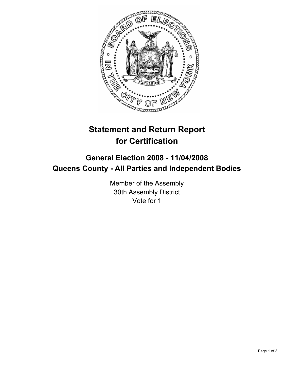

# **Statement and Return Report for Certification**

## **General Election 2008 - 11/04/2008 Queens County - All Parties and Independent Bodies**

Member of the Assembly 30th Assembly District Vote for 1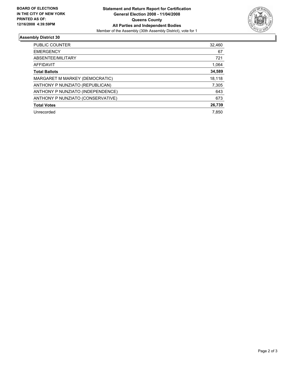

### **Assembly District 30**

| <b>PUBLIC COUNTER</b>             | 32,460 |
|-----------------------------------|--------|
| <b>EMERGENCY</b>                  | 67     |
| ABSENTEE/MILITARY                 | 721    |
| <b>AFFIDAVIT</b>                  | 1,064  |
| <b>Total Ballots</b>              | 34,589 |
| MARGARET M MARKEY (DEMOCRATIC)    | 18.118 |
| ANTHONY P NUNZIATO (REPUBLICAN)   | 7,305  |
| ANTHONY P NUNZIATO (INDEPENDENCE) | 643    |
| ANTHONY P NUNZIATO (CONSERVATIVE) | 673    |
| <b>Total Votes</b>                | 26,739 |
| Unrecorded                        | 7.850  |